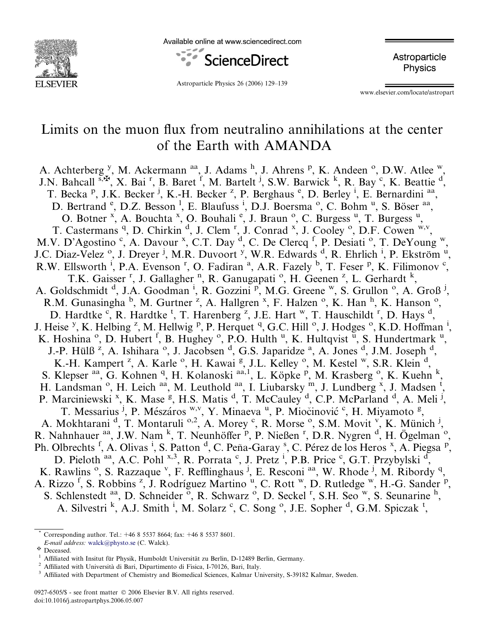

Available online at www.sciencedirect.com



Astroparticle Physics

Astroparticle Physics 26 (2006) 129–139

www.elsevier.com/locate/astropart

# Limits on the muon flux from neutralino annihilations at the center of the Earth with AMANDA

A. Achterberg <sup>y</sup>, M. Ackermann <sup>aa</sup>, J. Adams <sup>h</sup>, J. Ahrens <sup>p</sup>, K. Andeen <sup>o</sup>, D.W. Atlee <sup>w</sup>, J.N. Bahcall <sup>s, H</sup>, X. Bai<sup>r</sup>, B. Baret <sup>f</sup>, M. Bartelt <sup>j</sup>, S.W. Barwick <sup>k</sup>, R. Bay <sup>c</sup>, K. Beattie <sup>d</sup>, T. Becka<sup>p</sup>, J.K. Becker<sup>j</sup>, K.-H. Becker<sup>z</sup>, P. Berghaus<sup>e</sup>, D. Berley<sup>i</sup>, E. Bernardini<sup>aa</sup>, D. Bertrand<sup>e</sup>, D.Z. Besson<sup>1</sup>, E. Blaufuss<sup>1</sup>, D.J. Boersma<sup>o</sup>, C. Bohm<sup>u</sup>, S. Böser<sup>aa</sup>, O. Botner <sup>x</sup>, A. Bouchta <sup>x</sup>, O. Bouhali <sup>e</sup>, J. Braun <sup>o</sup>, C. Burgess <sup>u</sup>, T. Burgess <sup>u</sup>, T. Castermans<sup>q</sup>, D. Chirkin<sup>d</sup>, J. Clem<sup>r</sup>, J. Conrad<sup>x</sup>, J. Cooley<sup>o</sup>, D.F. Cowen<sup>w,v</sup>, M.V. D'Agostino <sup>c</sup>, A. Davour <sup>x</sup>, C.T. Day <sup>d</sup>, C. De Clercq <sup>f</sup>, P. Desiati <sup>o</sup>, T. DeYoung <sup>w</sup>, J.C. Diaz-Velez<sup>o</sup>, J. Dreyer<sup>j</sup>, M.R. Duvoort<sup>y</sup>, W.R. Edwards<sup>d</sup>, R. Ehrlich<sup>i</sup>, P. Ekström<sup>u</sup>, R.W. Ellsworth<sup>i</sup>, P.A. Evenson<sup>r</sup>, O. Fadiran<sup>a</sup>, A.R. Fazely<sup>b</sup>, T. Feser<sup>p</sup>, K. Filimonov<sup>c</sup>, T.K. Gaisser<sup>r</sup>, J. Gallagher<sup>n</sup>, R. Ganugapati<sup>o</sup>, H. Geenen<sup>z</sup>, L. Gerhardt<sup>k</sup>, A. Goldschmidt <sup>d</sup>, J.A. Goodman <sup>i</sup>, R. Gozzini <sup>p</sup>, M.G. Greene <sup>w</sup>, S. Grullon <sup>o</sup>, A. Groß <sup>j</sup>, R.M. Gunasingha <sup>b</sup>, M. Gurtner <sup>z</sup>, A. Hallgren <sup>x</sup>, F. Halzen <sup>o</sup>, K. Han <sup>h</sup>, K. Hanson <sup>o</sup>, D. Hardtke c, R. Hardtke <sup>t</sup>, T. Harenberg<sup>2</sup>, J.E. Hart <sup>w</sup>, T. Hauschildt <sup>r</sup>, D. Hays <sup>d</sup>, J. Heise <sup>y</sup>, K. Helbing <sup>z</sup>, M. Hellwig <sup>p</sup>, P. Herquet <sup>q</sup>, G.C. Hill <sup>o</sup>, J. Hodges <sup>o</sup>, K.D. Hoffman <sup>i</sup>, K. Hoshina <sup>o</sup>, D. Hubert <sup>f</sup>, B. Hughey <sup>o</sup>, P.O. Hulth <sup>u</sup>, K. Hultqvist <sup>u</sup>, S. Hundertmark <sup>u</sup>, J.-P. Hülß<sup>2</sup>, A. Ishihara<sup>o</sup>, J. Jacobsen<sup>d</sup>, G.S. Japaridze<sup>a</sup>, A. Jones<sup>d</sup>, J.M. Joseph<sup>d</sup>, K.-H. Kampert<sup>z</sup>, A. Karle<sup>o</sup>, H. Kawai<sup>g</sup>, J.L. Kelley<sup>o</sup>, M. Kestel <sup>w</sup>, S.R. Klein<sup>d</sup>, S. Klepser <sup>aa</sup>, G. Kohnen <sup>q</sup>, H. Kolanoski <sup>aa, 1</sup>, L. Köpke <sup>p</sup>, M. Krasberg <sup>o</sup>, K. Kuehn <sup>k</sup>, H. Landsman<sup>o</sup>, H. Leich aa, M. Leuthold aa, I. Liubarsky m, J. Lundberg x, J. Madsen t, P. Marciniewski<sup>x</sup>, K. Mase<sup>g</sup>, H.S. Matis<sup>d</sup>, T. McCauley<sup>d</sup>, C.P. McParland<sup>d</sup>, A. Meli<sup>j</sup>, T. Messarius<sup>j</sup>, P. Mészáros <sup>w,v</sup>, Y. Minaeva<sup>u</sup>, P. Miočinović<sup>c</sup>, H. Miyamoto<sup>g</sup>, A. Mokhtarani<sup>d</sup>, T. Montaruli<sup>o,2</sup>, A. Morey<sup>c</sup>, R. Morse<sup>o</sup>, S.M. Movit<sup>v</sup>, K. Münich<sup>j</sup>, R. Nahnhauer <sup>aa</sup>, J.W. Nam <sup>k</sup>, T. Neunhöffer <sup>p</sup>, P. Nießen <sup>r</sup>, D.R. Nygren <sup>d</sup>, H. Ögelman <sup>o</sup>, Ph. Olbrechts <sup>f</sup>, A. Olivas <sup>i</sup>, S. Patton <sup>d</sup>, C. Peña-Garay <sup>s</sup>, C. Pérez de los Heros <sup>x</sup>, A. Piegsa <sup>p</sup>, D. Pieloth <sup>aa</sup>, A.C. Pohl<sup>x,3</sup>, R. Porrata <sup>c</sup>, J. Pretz<sup>i</sup>, P.B. Price <sup>c</sup>, G.T. Przybylski <sup>d</sup>, K. Rawlins<sup>o</sup>, S. Razzaque<sup>v</sup>, F. Refflinghaus<sup>j</sup>, E. Resconi<sup>aa</sup>, W. Rhode<sup>j</sup>, M. Ribordy<sup>q</sup>, A. Rizzo <sup>f</sup>, S. Robbins<sup>7</sup>, J. Rodríguez Martino <sup>u</sup>, C. Rott <sup>w</sup>, D. Rutledge <sup>w</sup>, H.-G. Sander <sup>p</sup>, S. Schlenstedt  $a^a$ , D. Schneider  $\overline{O}$ , R. Schwarz  $\overline{O}$ , D. Seckel <sup>r</sup>, S.H. Seo  $\overline{O}$ , S. Seunarine h, A. Silvestri <sup>k</sup>, A.J. Smith <sup>i</sup>, M. Solarz <sup>c</sup>, C. Song <sup>o</sup>, J.E. Sopher <sup>d</sup>, G.M. Spiczak <sup>t</sup>,

Corresponding author. Tel.:  $+46855378664$ ; fax:  $+46855378601$ .

*E-mail address:* [walck@physto.se](mailto:walck@physto.se) (C. Walck).<br>
<sup>2</sup> Deceased.<br>
<sup>1</sup> Affiliated with Insitut für Physik, Humboldt Universität zu Berlin, D-12489 Berlin, Germany.<br>
<sup>2</sup> Affiliated with Università di Bari, Dipartimento di Fisic

<sup>0927-6505/\$ -</sup> see front matter © 2006 Elsevier B.V. All rights reserved. doi:10.1016/j.astropartphys.2006.05.007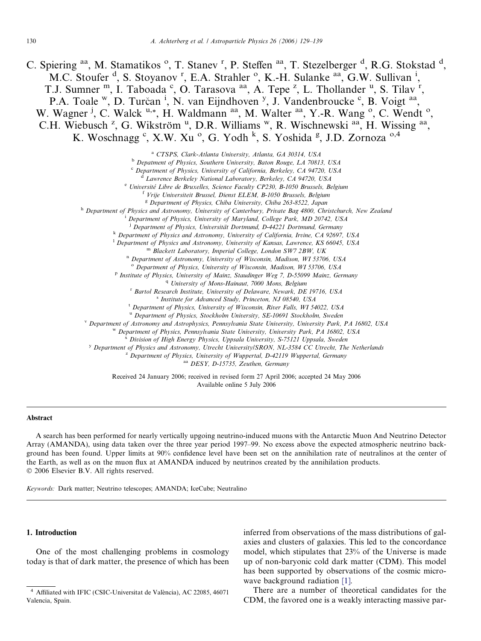C. Spiering <sup>aa</sup>, M. Stamatikos °, T. Stanev <sup>r</sup>, P. Steffen <sup>aa</sup>, T. Stezelberger <sup>d</sup>, R.G. Stokstad <sup>d</sup>, M.C. Stoufer <sup>d</sup>, S. Stoyanov<sup>r</sup>, E.A. Strahler <sup>o</sup>, K.-H. Sulanke <sup>aa</sup>, G.W. Sullivan<sup>i</sup>, T.J. Sumner <sup>m</sup>, I. Taboada <sup>c</sup>, O. Tarasova <sup>aa</sup>, A. Tepe <sup>z</sup>, L. Thollander <sup>u</sup>, S. Tilav <sup>r</sup>, P.A. Toale <sup>w</sup>, D. Turčan<sup>i</sup>, N. van Eijndhoven <sup>y</sup>, J. Vandenbroucke <sup>c</sup>, B. Voigt <sup>aa</sup>, W. Wagner <sup>j</sup>, C. Walck <sup>u,\*</sup>, H. Waldmann <sup>aa</sup>, M. Walter <sup>aa</sup>, Y.-R. Wang <sup>o</sup>, C. Wendt <sup>o</sup>, C.H. Wiebusch<sup>z</sup>, G. Wikström<sup>u</sup>, D.R. Williams<sup>w</sup>, R. Wischnewski<sup>aa</sup>, H. Wissing<sup>aa</sup>,

K. Woschnagg <sup>c</sup>, X.W. Xu <sup>o</sup>, G. Yodh <sup>k</sup>, S. Yoshida <sup>g</sup>, J.D. Zornoza <sup>o,4</sup>

<sup>a</sup> CTSPS, Clark-Atlanta University, Atlanta, GA 30314, USA

<sup>b</sup> Depatment of Physics, Southern University, Baton Rouge, LA 70813, USA

 $c$  Department of Physics, University of California, Berkeley, CA 94720, USA

Lawrence Berkeley National Laboratory, Berkeley, CA 94720, USA

e Université Libre de Bruxelles, Science Faculty CP230, B-1050 Brussels, Belgium

 $f$  Vrije Universiteit Brussel, Dienst ELEM, B-1050 Brussels, Belgium

 $g<sup>g</sup>$  Department of Physics, Chiba University, Chiba 263-8522, Japan

h Department of Physics and Astronomy, University of Canterbury, Private Bag 4800, Christchurch, New Zealand

<sup>i</sup> Department of Physics, University of Maryland, College Park, MD 20742, USA<br><sup>j</sup> Department of Physics, Universität Dortmund, D-44221 Dortmund, Germany

k Department of Physics and Astronomy, University of California, Irvine, CA 92697, USA

 $^{1}$  Department of Physics and Astronomy, University of Kansas, Lawrence, KS 66045, USA

<sup>m</sup> Blackett Laboratory, Imperial College, London SW7 2BW, UK

<sup>n</sup> Department of Astronomy, University of Wisconsin, Madison, WI 53706, USA

 $^{\circ}$  Department of Physics, University of Wisconsin, Madison, WI 53706, USA

<sup>p</sup> Institute of Physics, University of Mainz, Staudinger Weg 7, D-55099 Mainz, Germany

 $q$  University of Mons-Hainaut, 7000 Mons, Belgium

<sup>r</sup> Bartol Research Institute, University of Delaware, Newark, DE 19716, USA

<sup>s</sup> Institute for Advanced Study, Princeton, NJ 08540, USA

<sup>t</sup> Department of Physics, University of Wisconsin, River Falls, WI 54022, USA

u Department of Physics, Stockholm University, SE-10691 Stockholm, Sweden

<sup>v</sup> Department of Astronomy and Astrophysics, Pennsylvania State University, University Park, PA 16802, USA

<sup>w</sup> Department of Physics, Pennsylvania State University, University Park, PA 16802, USA

<sup>x</sup> Division of High Energy Physics, Uppsala University, S-75121 Uppsala, Sweden

<sup>y</sup> Department of Physics and Astronomy, Utrecht University/SRON, NL-3584 CC Utrecht, The Netherlands

 $Z^2$  Department of Physics, University of Wuppertal, D-42119 Wuppertal, Germany

aa DESY, D-15735, Zeuthen, Germany

Received 24 January 2006; received in revised form 27 April 2006; accepted 24 May 2006 Available online 5 July 2006

# Abstract

A search has been performed for nearly vertically upgoing neutrino-induced muons with the Antarctic Muon And Neutrino Detector Array (AMANDA), using data taken over the three year period 1997–99. No excess above the expected atmospheric neutrino background has been found. Upper limits at 90% confidence level have been set on the annihilation rate of neutralinos at the center of the Earth, as well as on the muon flux at AMANDA induced by neutrinos created by the annihilation products. © 2006 Elsevier B.V. All rights reserved.

Keywords: Dark matter; Neutrino telescopes; AMANDA; IceCube; Neutralino

# 1. Introduction

One of the most challenging problems in cosmology today is that of dark matter, the presence of which has been inferred from observations of the mass distributions of galaxies and clusters of galaxies. This led to the concordance model, which stipulates that 23% of the Universe is made up of non-baryonic cold dark matter (CDM). This model has been supported by observations of the cosmic microwave background radiation [\[1\].](#page-10-0)

There are a number of theoretical candidates for the CDM, the favored one is a weakly interacting massive par-

<sup>&</sup>lt;sup>4</sup> Affiliated with IFIC (CSIC-Universitat de València), AC 22085, 46071 Valencia, Spain.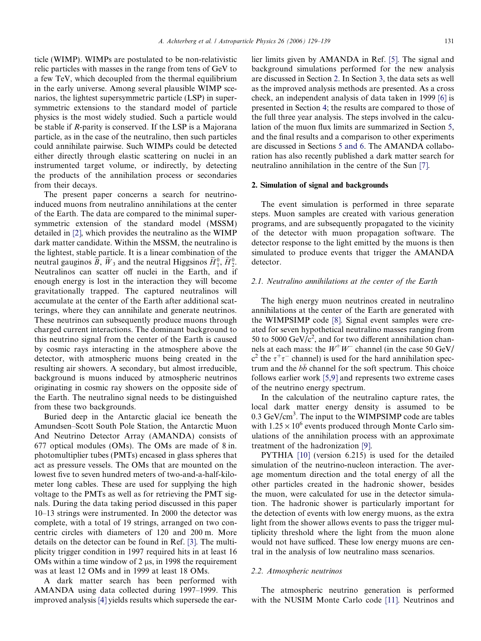ticle (WIMP). WIMPs are postulated to be non-relativistic relic particles with masses in the range from tens of GeV to a few TeV, which decoupled from the thermal equilibrium in the early universe. Among several plausible WIMP scenarios, the lightest supersymmetric particle (LSP) in supersymmetric extensions to the standard model of particle physics is the most widely studied. Such a particle would be stable if R-parity is conserved. If the LSP is a Majorana particle, as in the case of the neutralino, then such particles could annihilate pairwise. Such WIMPs could be detected either directly through elastic scattering on nuclei in an instrumented target volume, or indirectly, by detecting the products of the annihilation process or secondaries from their decays.

The present paper concerns a search for neutrinoinduced muons from neutralino annihilations at the center of the Earth. The data are compared to the minimal supersymmetric extension of the standard model (MSSM) detailed in [\[2\]](#page-10-0), which provides the neutralino as the WIMP dark matter candidate. Within the MSSM, the neutralino is the lightest, stable particle. It is a linear combination of the neutral gauginos  $\ddot{B}$ ,  $\ddot{W}_3$  and the neutral Higgsinos  $\ddot{H}_1^0$ ,  $\ddot{H}_2^0$ . Neutralinos can scatter off nuclei in the Earth, and if enough energy is lost in the interaction they will become gravitationally trapped. The captured neutralinos will accumulate at the center of the Earth after additional scatterings, where they can annihilate and generate neutrinos. These neutrinos can subsequently produce muons through charged current interactions. The dominant background to this neutrino signal from the center of the Earth is caused by cosmic rays interacting in the atmosphere above the detector, with atmospheric muons being created in the resulting air showers. A secondary, but almost irreducible, background is muons induced by atmospheric neutrinos originating in cosmic ray showers on the opposite side of the Earth. The neutralino signal needs to be distinguished from these two backgrounds.

Buried deep in the Antarctic glacial ice beneath the Amundsen–Scott South Pole Station, the Antarctic Muon And Neutrino Detector Array (AMANDA) consists of 677 optical modules (OMs). The OMs are made of 8 in. photomultiplier tubes (PMTs) encased in glass spheres that act as pressure vessels. The OMs that are mounted on the lowest five to seven hundred meters of two-and-a-half-kilometer long cables. These are used for supplying the high voltage to the PMTs as well as for retrieving the PMT signals. During the data taking period discussed in this paper 10–13 strings were instrumented. In 2000 the detector was complete, with a total of 19 strings, arranged on two concentric circles with diameters of 120 and 200 m. More details on the detector can be found in Ref. [\[3\].](#page-10-0) The multiplicity trigger condition in 1997 required hits in at least 16 OMs within a time window of  $2 \mu s$ , in 1998 the requirement was at least 12 OMs and in 1999 at least 18 OMs.

A dark matter search has been performed with AMANDA using data collected during 1997–1999. This improved analysis [\[4\]](#page-10-0) yields results which supersede the earlier limits given by AMANDA in Ref. [\[5\]](#page-10-0). The signal and background simulations performed for the new analysis are discussed in Section 2. In Section 3, the data sets as well as the improved analysis methods are presented. As a cross check, an independent analysis of data taken in 1999 [\[6\]](#page-10-0) is presented in Section 4; the results are compared to those of the full three year analysis. The steps involved in the calculation of the muon flux limits are summarized in Section 5, and the final results and a comparison to other experiments are discussed in Sections 5 and 6. The AMANDA collaboration has also recently published a dark matter search for neutralino annihilation in the centre of the Sun [\[7\].](#page-10-0)

## 2. Simulation of signal and backgrounds

The event simulation is performed in three separate steps. Muon samples are created with various generation programs, and are subsequently propagated to the vicinity of the detector with muon propagation software. The detector response to the light emitted by the muons is then simulated to produce events that trigger the AMANDA detector.

## 2.1. Neutralino annihilations at the center of the Earth

The high energy muon neutrinos created in neutralino annihilations at the center of the Earth are generated with the WIMPSIMP code [\[8\].](#page-10-0) Signal event samples were created for seven hypothetical neutralino masses ranging from 50 to 5000 GeV/ $c^2$ , and for two different annihilation channels at each mass: the  $W^+W^-$  channel (in the case 50 GeV/  $c^2$  the  $\tau^+\tau^-$  channel) is used for the hard annihilation spectrum and the  $b\bar{b}$  channel for the soft spectrum. This choice follows earlier work [\[5,9\]](#page-10-0) and represents two extreme cases of the neutrino energy spectrum.

In the calculation of the neutralino capture rates, the local dark matter energy density is assumed to be 0.3 GeV/cm<sup>3</sup>. The input to the WIMPSIMP code are tables with  $1.25 \times 10^6$  events produced through Monte Carlo simulations of the annihilation process with an approximate treatment of the hadronization [\[9\].](#page-10-0)

PYTHIA [\[10\]](#page-10-0) (version 6.215) is used for the detailed simulation of the neutrino-nucleon interaction. The average momentum direction and the total energy of all the other particles created in the hadronic shower, besides the muon, were calculated for use in the detector simulation. The hadronic shower is particularly important for the detection of events with low energy muons, as the extra light from the shower allows events to pass the trigger multiplicity threshold where the light from the muon alone would not have sufficed. These low energy muons are central in the analysis of low neutralino mass scenarios.

# 2.2. Atmospheric neutrinos

The atmospheric neutrino generation is performed with the NUSIM Monte Carlo code [\[11\].](#page-10-0) Neutrinos and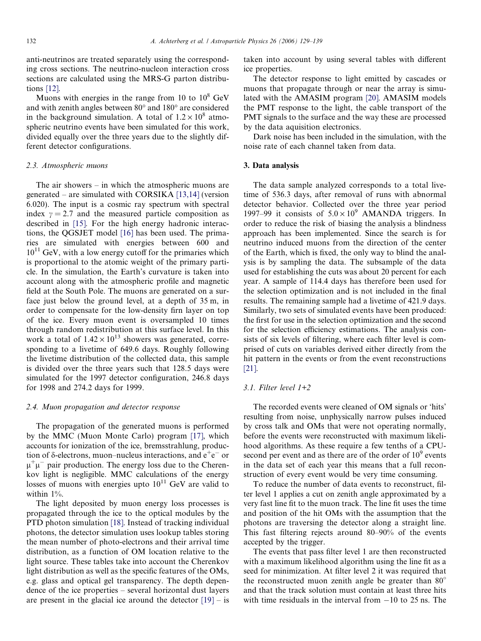anti-neutrinos are treated separately using the corresponding cross sections. The neutrino-nucleon interaction cross sections are calculated using the MRS-G parton distributions [\[12\]](#page-10-0).

Muons with energies in the range from 10 to  $10^8$  GeV and with zenith angles between  $80^{\circ}$  and  $180^{\circ}$  are considered in the background simulation. A total of  $1.2 \times 10^8$  atmospheric neutrino events have been simulated for this work, divided equally over the three years due to the slightly different detector configurations.

### 2.3. Atmospheric muons

The air showers – in which the atmospheric muons are generated – are simulated with CORSIKA  $[13,14]$  (version 6.020). The input is a cosmic ray spectrum with spectral index  $\gamma = 2.7$  and the measured particle composition as described in [\[15\].](#page-10-0) For the high energy hadronic interactions, the QGSJET model [\[16\]](#page-10-0) has been used. The primaries are simulated with energies between 600 and  $10^{11}$  GeV, with a low energy cutoff for the primaries which is proportional to the atomic weight of the primary particle. In the simulation, the Earth's curvature is taken into account along with the atmospheric profile and magnetic field at the South Pole. The muons are generated on a surface just below the ground level, at a depth of 35 m, in order to compensate for the low-density firn layer on top of the ice. Every muon event is oversampled 10 times through random redistribution at this surface level. In this work a total of  $1.42 \times 10^{13}$  showers was generated, corresponding to a livetime of 649.6 days. Roughly following the livetime distribution of the collected data, this sample is divided over the three years such that 128.5 days were simulated for the 1997 detector configuration, 246.8 days for 1998 and 274.2 days for 1999.

#### 2.4. Muon propagation and detector response

The propagation of the generated muons is performed by the MMC (Muon Monte Carlo) program [\[17\]](#page-10-0), which accounts for ionization of the ice, bremsstrahlung, production of  $\delta$ -electrons, muon–nucleus interactions, and  $e^+e^-$  or  $\mu^+\mu^-$  pair production. The energy loss due to the Cherenkov light is negligible. MMC calculations of the energy losses of muons with energies upto  $10^{11}$  GeV are valid to within 1%.

The light deposited by muon energy loss processes is propagated through the ice to the optical modules by the PTD photon simulation [\[18\].](#page-10-0) Instead of tracking individual photons, the detector simulation uses lookup tables storing the mean number of photo-electrons and their arrival time distribution, as a function of OM location relative to the light source. These tables take into account the Cherenkov light distribution as well as the specific features of the OMs, e.g. glass and optical gel transparency. The depth dependence of the ice properties – several horizontal dust layers are present in the glacial ice around the detector  $[19] [19] -$  is taken into account by using several tables with different ice properties.

The detector response to light emitted by cascades or muons that propagate through or near the array is simulated with the AMASIM program [\[20\].](#page-10-0) AMASIM models the PMT response to the light, the cable transport of the PMT signals to the surface and the way these are processed by the data aquisition electronics.

Dark noise has been included in the simulation, with the noise rate of each channel taken from data.

#### 3. Data analysis

The data sample analyzed corresponds to a total livetime of 536.3 days, after removal of runs with abnormal detector behavior. Collected over the three year period 1997–99 it consists of  $5.0 \times 10^9$  AMANDA triggers. In order to reduce the risk of biasing the analysis a blindness approach has been implemented. Since the search is for neutrino induced muons from the direction of the center of the Earth, which is fixed, the only way to blind the analysis is by sampling the data. The subsample of the data used for establishing the cuts was about 20 percent for each year. A sample of 114.4 days has therefore been used for the selection optimization and is not included in the final results. The remaining sample had a livetime of 421.9 days. Similarly, two sets of simulated events have been produced: the first for use in the selection optimization and the second for the selection efficiency estimations. The analysis consists of six levels of filtering, where each filter level is comprised of cuts on variables derived either directly from the hit pattern in the events or from the event reconstructions [\[21\]](#page-10-0).

# 3.1. Filter level 1+2

The recorded events were cleaned of OM signals or 'hits' resulting from noise, unphysically narrow pulses induced by cross talk and OMs that were not operating normally, before the events were reconstructed with maximum likelihood algorithms. As these require a few tenths of a CPUsecond per event and as there are of the order of  $10<sup>9</sup>$  events in the data set of each year this means that a full reconstruction of every event would be very time consuming.

To reduce the number of data events to reconstruct, filter level 1 applies a cut on zenith angle approximated by a very fast line fit to the muon track. The line fit uses the time and position of the hit OMs with the assumption that the photons are traversing the detector along a straight line. This fast filtering rejects around 80–90% of the events accepted by the trigger.

The events that pass filter level 1 are then reconstructed with a maximum likelihood algorithm using the line fit as a seed for minimization. At filter level 2 it was required that the reconstructed muon zenith angle be greater than 80 and that the track solution must contain at least three hits with time residuals in the interval from  $-10$  to 25 ns. The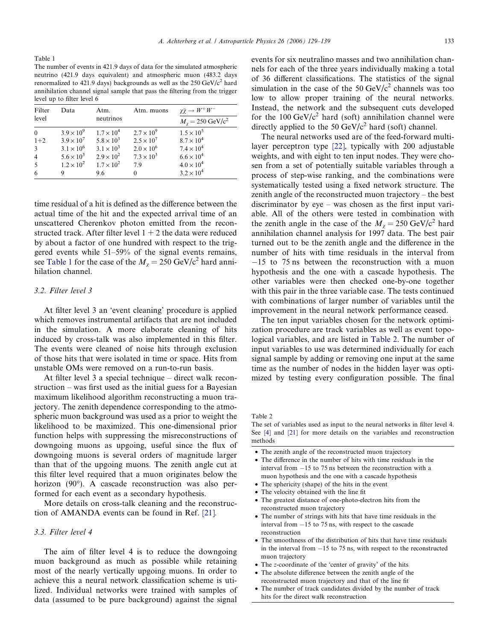<span id="page-4-0"></span>Table 1

The number of events in 421.9 days of data for the simulated atmospheric neutrino (421.9 days equivalent) and atmospheric muon (483.2 days renormalized to 421.9 days) backgrounds as well as the  $250 \text{ GeV}/c^2$  hard annihilation channel signal sample that pass the filtering from the trigger level up to filter level 6

| Filter         | Data                | Atm.                | Atm. muons          | $\chi \bar{\chi} \to W^+ W^-$      |  |
|----------------|---------------------|---------------------|---------------------|------------------------------------|--|
| level          |                     | neutrinos           |                     | $M_{\gamma} = 250 \text{ GeV}/c^2$ |  |
| $\theta$       | $3.9 \times 10^{9}$ | $1.7 \times 10^{4}$ | $2.7 \times 10^{9}$ | $1.5 \times 10^{5}$                |  |
| $1+2$          | $3.9 \times 10^{7}$ | $5.8 \times 10^{3}$ | $2.5 \times 10^{7}$ | $8.7 \times 10^{4}$                |  |
| 3              | $3.1 \times 10^{6}$ | $3.1 \times 10^{3}$ | $2.0 \times 10^{6}$ | $7.4 \times 10^{4}$                |  |
| $\overline{4}$ | $5.6 \times 10^{3}$ | $2.9 \times 10^{2}$ | $7.3 \times 10^{3}$ | $6.6 \times 10^{4}$                |  |
| 5              | $1.2 \times 10^{2}$ | $1.7 \times 10^{2}$ | 79                  | $4.0 \times 10^{4}$                |  |
| 6              |                     | 9.6                 |                     | $3.2 \times 10^{4}$                |  |

time residual of a hit is defined as the difference between the actual time of the hit and the expected arrival time of an unscattered Cherenkov photon emitted from the reconstructed track. After filter level  $1 + 2$  the data were reduced by about a factor of one hundred with respect to the triggered events while 51–59% of the signal events remains, see Table 1 for the case of the  $M_{\gamma} = 250$  GeV/c<sup>2</sup> hard annihilation channel.

# 3.2. Filter level 3

At filter level 3 an 'event cleaning' procedure is applied which removes instrumental artifacts that are not included in the simulation. A more elaborate cleaning of hits induced by cross-talk was also implemented in this filter. The events were cleaned of noise hits through exclusion of those hits that were isolated in time or space. Hits from unstable OMs were removed on a run-to-run basis.

At filter level 3 a special technique – direct walk reconstruction – was first used as the initial guess for a Bayesian maximum likelihood algorithm reconstructing a muon trajectory. The zenith dependence corresponding to the atmospheric muon background was used as a prior to weight the likelihood to be maximized. This one-dimensional prior function helps with suppressing the misreconstructions of downgoing muons as upgoing, useful since the flux of downgoing muons is several orders of magnitude larger than that of the upgoing muons. The zenith angle cut at this filter level required that a muon originates below the horizon  $(90^{\circ})$ . A cascade reconstruction was also performed for each event as a secondary hypothesis.

More details on cross-talk cleaning and the reconstruction of AMANDA events can be found in Ref. [\[21\].](#page-10-0)

# 3.3. Filter level 4

The aim of filter level 4 is to reduce the downgoing muon background as much as possible while retaining most of the nearly vertically upgoing muons. In order to achieve this a neural network classification scheme is utilized. Individual networks were trained with samples of data (assumed to be pure background) against the signal events for six neutralino masses and two annihilation channels for each of the three years individually making a total of 36 different classifications. The statistics of the signal simulation in the case of the  $50 \text{ GeV}/c^2$  channels was too low to allow proper training of the neural networks. Instead, the network and the subsequent cuts developed for the 100  $GeV/c^2$  hard (soft) annihilation channel were directly applied to the 50  $GeV/c^2$  hard (soft) channel.

The neural networks used are of the feed-forward multilayer perceptron type [\[22\],](#page-10-0) typically with 200 adjustable weights, and with eight to ten input nodes. They were chosen from a set of potentially suitable variables through a process of step-wise ranking, and the combinations were systematically tested using a fixed network structure. The zenith angle of the reconstructed muon trajectory – the best discriminator by eye – was chosen as the first input variable. All of the others were tested in combination with the zenith angle in the case of the  $M_{\chi} = 250 \text{ GeV/c}^2$  hard annihilation channel analysis for 1997 data. The best pair turned out to be the zenith angle and the difference in the number of hits with time residuals in the interval from -15 to 75 ns between the reconstruction with a muon hypothesis and the one with a cascade hypothesis. The other variables were then checked one-by-one together with this pair in the three variable case. The tests continued with combinations of larger number of variables until the improvement in the neural network performance ceased.

The ten input variables chosen for the network optimization procedure are track variables as well as event topological variables, and are listed in Table 2. The number of input variables to use was determined individually for each signal sample by adding or removing one input at the same time as the number of nodes in the hidden layer was optimized by testing every configuration possible. The final

Table 2

The set of variables used as input to the neural networks in filter level 4. See [\[4\]](#page-10-0) and [\[21\]](#page-10-0) for more details on the variables and reconstruction methods

- The zenith angle of the reconstructed muon trajectory
- The difference in the number of hits with time residuals in the interval from -15 to 75 ns between the reconstruction with a muon hypothesis and the one with a cascade hypothesis
- The sphericity (shape) of the hits in the event
- The velocity obtained with the line fit
- The greatest distance of one-photo-electron hits from the reconstructed muon trajectory
- The number of strings with hits that have time residuals in the interval from -15 to 75 ns, with respect to the cascade reconstruction
- The smoothness of the distribution of hits that have time residuals in the interval from  $-15$  to 75 ns, with respect to the reconstructed muon trajectory
- The z-coordinate of the 'center of gravity' of the hits
- The absolute difference between the zenith angle of the reconstructed muon trajectory and that of the line fit
- The number of track candidates divided by the number of track hits for the direct walk reconstruction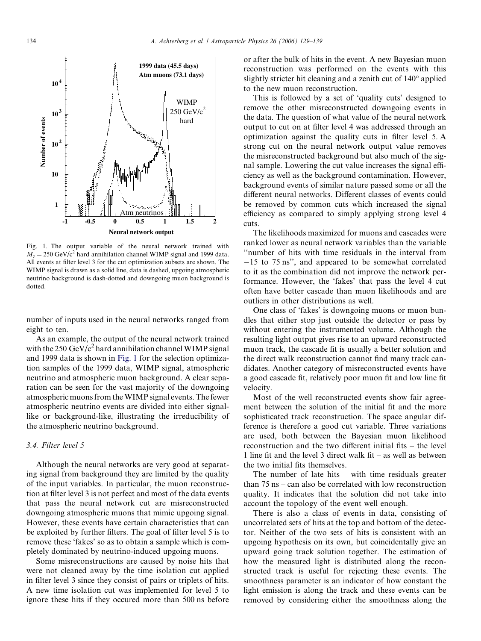

Fig. 1. The output variable of the neural network trained with  $M_{\gamma} = 250$  GeV/c<sup>2</sup> hard annihilation channel WIMP signal and 1999 data. All events at filter level 3 for the cut optimization subsets are shown. The WIMP signal is drawn as a solid line, data is dashed, upgoing atmospheric neutrino background is dash-dotted and downgoing muon background is dotted.

number of inputs used in the neural networks ranged from eight to ten.

As an example, the output of the neural network trained with the  $250 \text{ GeV}/c^2$  hard annihilation channel WIMP signal and 1999 data is shown in Fig. 1 for the selection optimization samples of the 1999 data, WIMP signal, atmospheric neutrino and atmospheric muon background. A clear separation can be seen for the vast majority of the downgoing atmospheric muons from the WIMP signal events. The fewer atmospheric neutrino events are divided into either signallike or background-like, illustrating the irreducibility of the atmospheric neutrino background.

# 3.4. Filter level 5

Although the neural networks are very good at separating signal from background they are limited by the quality of the input variables. In particular, the muon reconstruction at filter level 3 is not perfect and most of the data events that pass the neural network cut are misreconstructed downgoing atmospheric muons that mimic upgoing signal. However, these events have certain characteristics that can be exploited by further filters. The goal of filter level 5 is to remove these 'fakes' so as to obtain a sample which is completely dominated by neutrino-induced upgoing muons.

Some misreconstructions are caused by noise hits that were not cleaned away by the time isolation cut applied in filter level 3 since they consist of pairs or triplets of hits. A new time isolation cut was implemented for level 5 to ignore these hits if they occured more than 500 ns before

or after the bulk of hits in the event. A new Bayesian muon reconstruction was performed on the events with this slightly stricter hit cleaning and a zenith cut of  $140^{\circ}$  applied to the new muon reconstruction.

This is followed by a set of 'quality cuts' designed to remove the other misreconstructed downgoing events in the data. The question of what value of the neural network output to cut on at filter level 4 was addressed through an optimization against the quality cuts in filter level 5. A strong cut on the neural network output value removes the misreconstructed background but also much of the signal sample. Lowering the cut value increases the signal efficiency as well as the background contamination. However, background events of similar nature passed some or all the different neural networks. Different classes of events could be removed by common cuts which increased the signal efficiency as compared to simply applying strong level 4 cuts.

The likelihoods maximized for muons and cascades were ranked lower as neural network variables than the variable ''number of hits with time residuals in the interval from -15 to 75 ns'', and appeared to be somewhat correlated to it as the combination did not improve the network performance. However, the 'fakes' that pass the level 4 cut often have better cascade than muon likelihoods and are outliers in other distributions as well.

One class of 'fakes' is downgoing muons or muon bundles that either stop just outside the detector or pass by without entering the instrumented volume. Although the resulting light output gives rise to an upward reconstructed muon track, the cascade fit is usually a better solution and the direct walk reconstruction cannot find many track candidates. Another category of misreconstructed events have a good cascade fit, relatively poor muon fit and low line fit velocity.

Most of the well reconstructed events show fair agreement between the solution of the initial fit and the more sophisticated track reconstruction. The space angular difference is therefore a good cut variable. Three variations are used, both between the Bayesian muon likelihood reconstruction and the two different initial fits – the level 1 line fit and the level 3 direct walk fit – as well as between the two initial fits themselves.

The number of late hits – with time residuals greater than 75 ns – can also be correlated with low reconstruction quality. It indicates that the solution did not take into account the topology of the event well enough.

There is also a class of events in data, consisting of uncorrelated sets of hits at the top and bottom of the detector. Neither of the two sets of hits is consistent with an upgoing hypothesis on its own, but coincidentally give an upward going track solution together. The estimation of how the measured light is distributed along the reconstructed track is useful for rejecting these events. The smoothness parameter is an indicator of how constant the light emission is along the track and these events can be removed by considering either the smoothness along the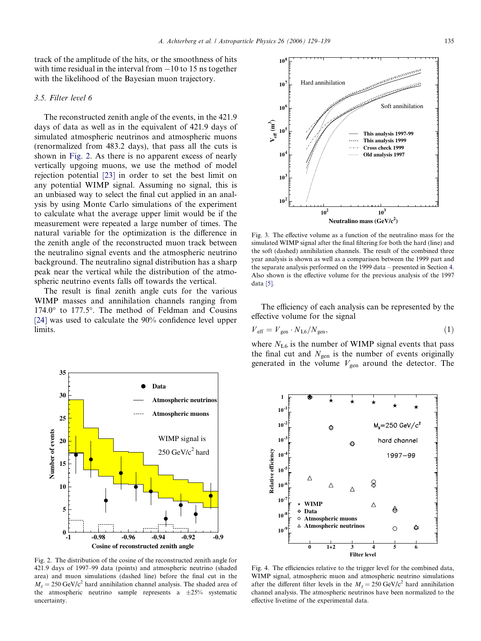<span id="page-6-0"></span>track of the amplitude of the hits, or the smoothness of hits with time residual in the interval from  $-10$  to 15 ns together with the likelihood of the Bayesian muon trajectory.

## 3.5. Filter level 6

The reconstructed zenith angle of the events, in the 421.9 days of data as well as in the equivalent of 421.9 days of simulated atmospheric neutrinos and atmospheric muons (renormalized from 483.2 days), that pass all the cuts is shown in Fig. 2. As there is no apparent excess of nearly vertically upgoing muons, we use the method of model rejection potential [\[23\]](#page-10-0) in order to set the best limit on any potential WIMP signal. Assuming no signal, this is an unbiased way to select the final cut applied in an analysis by using Monte Carlo simulations of the experiment to calculate what the average upper limit would be if the measurement were repeated a large number of times. The natural variable for the optimization is the difference in the zenith angle of the reconstructed muon track between the neutralino signal events and the atmospheric neutrino background. The neutralino signal distribution has a sharp peak near the vertical while the distribution of the atmospheric neutrino events falls off towards the vertical.

The result is final zenith angle cuts for the various WIMP masses and annihilation channels ranging from  $174.0^{\circ}$  to  $177.5^{\circ}$ . The method of Feldman and Cousins [\[24\]](#page-10-0) was used to calculate the 90% confidence level upper limits.



Fig. 2. The distribution of the cosine of the reconstructed zenith angle for 421.9 days of 1997–99 data (points) and atmospheric neutrino (shaded area) and muon simulations (dashed line) before the final cut in the  $M_{\gamma} = 250 \text{ GeV/c}^2$  hard annihilation channel analysis. The shaded area of the atmospheric neutrino sample represents a  $\pm 25\%$  systematic uncertainty.



Fig. 3. The effective volume as a function of the neutralino mass for the simulated WIMP signal after the final filtering for both the hard (line) and the soft (dashed) annihilation channels. The result of the combined three year analysis is shown as well as a comparison between the 1999 part and the separate analysis performed on the 1999 data – presented in Section 4. Also shown is the effective volume for the previous analysis of the 1997 data [\[5\]](#page-10-0).

The efficiency of each analysis can be represented by the effective volume for the signal

$$
V_{\rm eff} = V_{\rm gen} \cdot N_{\rm L6}/N_{\rm gen},\tag{1}
$$

where  $N_{\text{L6}}$  is the number of WIMP signal events that pass the final cut and  $N_{\text{gen}}$  is the number of events originally generated in the volume  $V_{\text{gen}}$  around the detector. The



Fig. 4. The efficiencies relative to the trigger level for the combined data, WIMP signal, atmospheric muon and atmospheric neutrino simulations after the different filter levels in the  $M_{\gamma} = 250 \text{ GeV}/c^2$  hard annihilation channel analysis. The atmospheric neutrinos have been normalized to the effective livetime of the experimental data.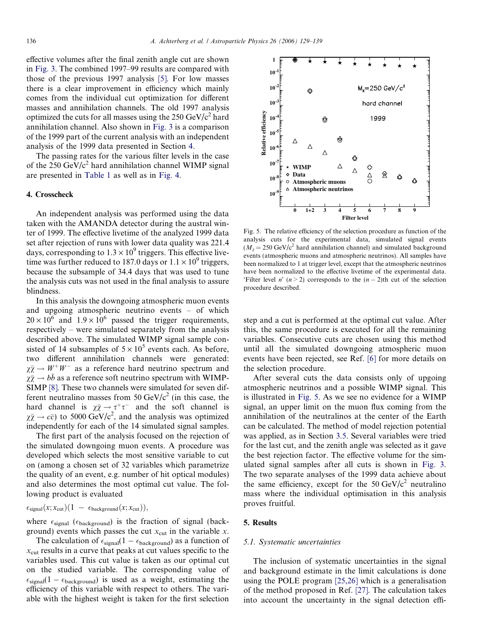effective volumes after the final zenith angle cut are shown in [Fig. 3](#page-6-0). The combined 1997–99 results are compared with those of the previous 1997 analysis [\[5\]](#page-10-0). For low masses there is a clear improvement in efficiency which mainly comes from the individual cut optimization for different masses and annihilation channels. The old 1997 analysis optimized the cuts for all masses using the  $250 \text{ GeV}/c^2$  hard annihilation channel. Also shown in [Fig. 3](#page-6-0) is a comparison of the 1999 part of the current analysis with an independent analysis of the 1999 data presented in Section 4.

The passing rates for the various filter levels in the case of the 250 GeV/ $c^2$  hard annihilation channel WIMP signal are presented in [Table 1](#page-4-0) as well as in [Fig. 4](#page-6-0).

# 4. Crosscheck

An independent analysis was performed using the data taken with the AMANDA detector during the austral winter of 1999. The effective livetime of the analyzed 1999 data set after rejection of runs with lower data quality was 221.4 days, corresponding to  $1.3 \times 10^9$  triggers. This effective livetime was further reduced to 187.0 days or  $1.1 \times 10^9$  triggers, because the subsample of 34.4 days that was used to tune the analysis cuts was not used in the final analysis to assure blindness.

In this analysis the downgoing atmospheric muon events and upgoing atmospheric neutrino events – of which  $20 \times 10^6$  and  $1.9 \times 10^6$  passed the trigger requirements, respectively – were simulated separately from the analysis described above. The simulated WIMP signal sample consisted of 14 subsamples of  $5 \times 10^5$  events each. As before, two different annihilation channels were generated:  $\chi \bar{\chi} \to W^+ W^-$  as a reference hard neutrino spectrum and  $\overline{\chi} \overline{\chi} \to b\overline{b}$  as a reference soft neutrino spectrum with WIMP-SIMP [\[8\].](#page-10-0) These two channels were simulated for seven different neutralino masses from 50  $GeV/c^2$  (in this case, the hard channel is  $\chi \bar{\chi} \to \tau^+ \tau^-$  and the soft channel is  $\chi \bar{\chi} \to c\bar{c}$ ) to 5000 GeV/c<sup>2</sup>, and the analysis was optimized independently for each of the 14 simulated signal samples.

The first part of the analysis focused on the rejection of the simulated downgoing muon events. A procedure was developed which selects the most sensitive variable to cut on (among a chosen set of 32 variables which parametrize the quality of an event, e.g. number of hit optical modules) and also determines the most optimal cut value. The following product is evaluated

$$
\epsilon_{\text{signal}}(x; x_{\text{cut}})(1 - \epsilon_{\text{background}}(x; x_{\text{cut}})),
$$

where  $\epsilon_{\text{signal}}$  ( $\epsilon_{\text{background}}$ ) is the fraction of signal (background) events which passes the cut  $x<sub>cut</sub>$  in the variable x.

The calculation of  $\epsilon_{\text{signal}}(1 - \epsilon_{\text{background}})$  as a function of  $x<sub>cut</sub>$  results in a curve that peaks at cut values specific to the variables used. This cut value is taken as our optimal cut on the studied variable. The corresponding value of  $\epsilon_{\text{signal}}(1 - \epsilon_{\text{background}})$  is used as a weight, estimating the efficiency of this variable with respect to others. The variable with the highest weight is taken for the first selection



Fig. 5. The relative efficiency of the selection procedure as function of the analysis cuts for the experimental data, simulated signal events  $(M_{\gamma} = 250 \text{ GeV/c}^2$  hard annihilation channel) and simulated background events (atmospheric muons and atmospheric neutrinos). All samples have been normalized to 1 at trigger level, except that the atmospheric neutrinos have been normalized to the effective livetime of the experimental data. 'Filter level *n*'  $(n > 2)$  corresponds to the  $(n - 2)$ <sup>th</sup> cut of the selection procedure described.

step and a cut is performed at the optimal cut value. After this, the same procedure is executed for all the remaining variables. Consecutive cuts are chosen using this method until all the simulated downgoing atmospheric muon events have been rejected, see Ref. [\[6\]](#page-10-0) for more details on the selection procedure.

After several cuts the data consists only of upgoing atmospheric neutrinos and a possible WIMP signal. This is illustrated in Fig. 5. As we see no evidence for a WIMP signal, an upper limit on the muon flux coming from the annihilation of the neutralinos at the center of the Earth can be calculated. The method of model rejection potential was applied, as in Section 3.5. Several variables were tried for the last cut, and the zenith angle was selected as it gave the best rejection factor. The effective volume for the simulated signal samples after all cuts is shown in [Fig. 3](#page-6-0). The two separate analyses of the 1999 data achieve about the same efficiency, except for the  $50 \text{ GeV}/c^2$  neutralino mass where the individual optimisation in this analysis proves fruitful.

#### 5. Results

### 5.1. Systematic uncertainties

The inclusion of systematic uncertainties in the signal and background estimate in the limit calculations is done using the POLE program [\[25,26\]](#page-10-0) which is a generalisation of the method proposed in Ref. [\[27\].](#page-10-0) The calculation takes into account the uncertainty in the signal detection effi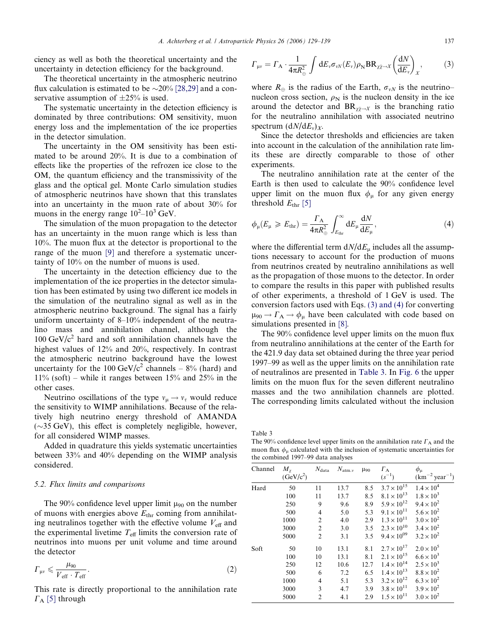ciency as well as both the theoretical uncertainty and the uncertainty in detection efficiency for the background.

The theoretical uncertainty in the atmospheric neutrino flux calculation is estimated to be  $\sim$ 20% [\[28,29\]](#page-10-0) and a conservative assumption of  $\pm 25\%$  is used.

The systematic uncertainty in the detection efficiency is dominated by three contributions: OM sensitivity, muon energy loss and the implementation of the ice properties in the detector simulation.

The uncertainty in the OM sensitivity has been estimated to be around 20%. It is due to a combination of effects like the properties of the refrozen ice close to the OM, the quantum efficiency and the transmissivity of the glass and the optical gel. Monte Carlo simulation studies of atmospheric neutrinos have shown that this translates into an uncertainty in the muon rate of about 30% for muons in the energy range  $10^2 - 10^3$  GeV.

The simulation of the muon propagation to the detector has an uncertainty in the muon range which is less than 10%. The muon flux at the detector is proportional to the range of the muon [\[9\]](#page-10-0) and therefore a systematic uncertainty of 10% on the number of muons is used.

The uncertainty in the detection efficiency due to the implementation of the ice properties in the detector simulation has been estimated by using two different ice models in the simulation of the neutralino signal as well as in the atmospheric neutrino background. The signal has a fairly uniform uncertainty of 8–10% independent of the neutralino mass and annihilation channel, although the  $100 \text{ GeV}/c^2$  hard and soft annihilation channels have the highest values of 12% and 20%, respectively. In contrast the atmospheric neutrino background have the lowest uncertainty for the 100 GeV/ $c^2$  channels – 8% (hard) and  $11\%$  (soft) – while it ranges between 15% and 25% in the other cases.

Neutrino oscillations of the type  $v_{\mu} \rightarrow v_{\tau}$  would reduce the sensitivity to WIMP annihilations. Because of the relatively high neutrino energy threshold of AMANDA  $(\sim 35 \text{ GeV})$ , this effect is completely negligible, however, for all considered WIMP masses.

Added in quadrature this yields systematic uncertainties between 33% and 40% depending on the WIMP analysis considered.

#### 5.2. Flux limits and comparisons

The  $90\%$  confidence level upper limit  $\mu_{90}$  on the number of muons with energies above  $E_{thr}$  coming from annihilating neutralinos together with the effective volume  $V_{\text{eff}}$  and the experimental livetime  $T_{\text{eff}}$  limits the conversion rate of neutrinos into muons per unit volume and time around the detector

$$
\Gamma_{\mu\nu} \leqslant \frac{\mu_{90}}{V_{\text{eff}} \cdot T_{\text{eff}}}.
$$
\n
$$
(2)
$$

This rate is directly proportional to the annihilation rate  $\Gamma_A$  [\[5\]](#page-10-0) through

$$
\Gamma_{\mu\nu} = \Gamma_{A} \cdot \frac{1}{4\pi R_{\oplus}^{2}} \int dE_{\nu} \sigma_{\nu N}(E_{\nu}) \rho_{N} BR_{\chi\bar{\chi}\to X} \left(\frac{dN}{dE_{\nu}}\right)_{X}, \tag{3}
$$

where  $R_{\oplus}$  is the radius of the Earth,  $\sigma_{\nu N}$  is the neutrino– nucleon cross section,  $\rho_N$  is the nucleon density in the ice around the detector and BR $_{\bar{x} \bar{x} \to X}$  is the branching ratio for the neutralino annihilation with associated neutrino spectrum  $(dN/dE_v)_x$ .

Since the detector thresholds and efficiencies are taken into account in the calculation of the annihilation rate limits these are directly comparable to those of other experiments.

The neutralino annihilation rate at the center of the Earth is then used to calculate the 90% confidence level upper limit on the muon flux  $\phi_{\mu}$  for any given energy threshold  $E_{\text{thr}}$  [\[5\]](#page-10-0)

$$
\phi_{\mu}(E_{\mu} \geqslant E_{\text{thr}}) = \frac{\Gamma_{\text{A}}}{4\pi R_{\oplus}^2} \int_{E_{\text{thr}}}^{\infty} dE_{\mu} \frac{dN}{dE_{\mu}},\tag{4}
$$

where the differential term  $dN/dE_{\mu}$  includes all the assumptions necessary to account for the production of muons from neutrinos created by neutralino annihilations as well as the propagation of those muons to the detector. In order to compare the results in this paper with published results of other experiments, a threshold of 1 GeV is used. The conversion factors used with Eqs. (3) and (4) for converting  $\mu_{90} \rightarrow \Gamma_A \rightarrow \phi_\mu$  have been calculated with code based on simulations presented in [\[8\].](#page-10-0)

The 90% confidence level upper limits on the muon flux from neutralino annihilations at the center of the Earth for the 421.9 day data set obtained during the three year period 1997–99 as well as the upper limits on the annihilation rate of neutralinos are presented in Table 3. In [Fig. 6](#page-9-0) the upper limits on the muon flux for the seven different neutralino masses and the two annihilation channels are plotted. The corresponding limits calculated without the inclusion

Table 3

The 90% confidence level upper limits on the annihilation rate  $\Gamma_A$  and the muon flux  $\phi_{\mu}$  calculated with the inclusion of systematic uncertainties for the combined 1997–99 data analyses

| Channel | $M_{\chi}$            | $N_{\rm data}$ | $N_{\text{atm.v}}$ | $\mu_{90}$ | $\Gamma_{\rm A}$     | $\phi_{\mu}$                    |
|---------|-----------------------|----------------|--------------------|------------|----------------------|---------------------------------|
|         | (GeV/c <sup>2</sup> ) |                |                    |            | $(s^{-1})$           | $(km^{-2}$ year <sup>-1</sup> ) |
| Hard    | 50                    | 11             | 13.7               | 8.5        | $3.7 \times 10^{15}$ | $1.4 \times 10^{4}$             |
|         | 100                   | 11             | 13.7               | 8.5        | $8.1 \times 10^{13}$ | $1.8 \times 10^{3}$             |
|         | 250                   | 9              | 9.6                | 8.9        | $5.9 \times 10^{12}$ | $9.4 \times 10^{2}$             |
|         | 500                   | $\overline{4}$ | 5.0                | 5.3        | $9.1 \times 10^{11}$ | $5.6 \times 10^{2}$             |
|         | 1000                  | $\overline{2}$ | 4.0                | 2.9        | $1.3 \times 10^{11}$ | $3.0 \times 10^{2}$             |
|         | 3000                  | $\overline{2}$ | 3.0                | 3.5        | $2.3 \times 10^{10}$ | $3.4 \times 10^{2}$             |
|         | 5000                  | $\overline{2}$ | 3.1                | 3.5        | $9.4 \times 10^{09}$ | $3.2 \times 10^{2}$             |
| Soft    | 50                    | 10             | 13.1               | 8.1        | $2.7 \times 10^{17}$ | $2.0 \times 10^{5}$             |
|         | 100                   | 10             | 13.1               | 8.1        | $2.1 \times 10^{15}$ | $6.6 \times 10^{3}$             |
|         | 250                   | 12             | 10.6               | 12.7       | $1.4 \times 10^{14}$ | $2.5 \times 10^{3}$             |
|         | 500                   | 6              | 7.2                | 6.5        | $1.4 \times 10^{13}$ | $8.8 \times 10^{2}$             |
|         | 1000                  | 4              | 5.1                | 5.3        | $3.2 \times 10^{12}$ | $6.3 \times 10^{2}$             |
|         | 3000                  | 3              | 4.7                | 3.9        | $3.8 \times 10^{11}$ | $3.9 \times 10^{2}$             |
|         | 5000                  | 2              | 4.1                | 2.9        | $1.5 \times 10^{11}$ | $3.0 \times 10^{2}$             |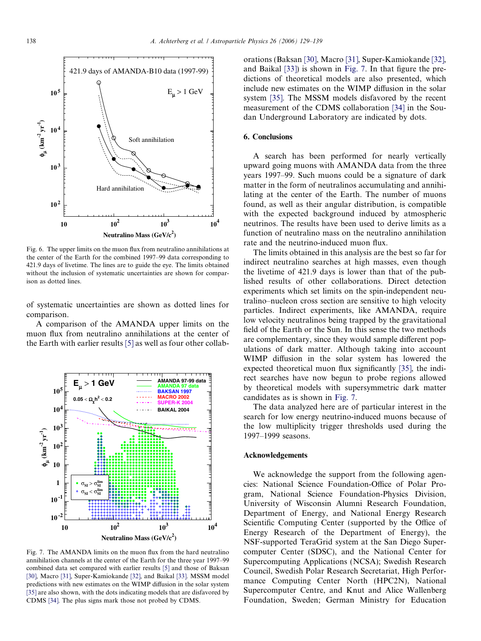<span id="page-9-0"></span>

Fig. 6. The upper limits on the muon flux from neutralino annihilations at the center of the Earth for the combined 1997–99 data corresponding to 421.9 days of livetime. The lines are to guide the eye. The limits obtained without the inclusion of systematic uncertainties are shown for comparison as dotted lines.

of systematic uncertainties are shown as dotted lines for comparison.

A comparison of the AMANDA upper limits on the muon flux from neutralino annihilations at the center of the Earth with earlier results [\[5\]](#page-10-0) as well as four other collab-



Fig. 7. The AMANDA limits on the muon flux from the hard neutralino annihilation channels at the center of the Earth for the three year 1997–99 combined data set compared with earlier results [\[5\]](#page-10-0) and those of Baksan [\[30\],](#page-10-0) Macro [\[31\]](#page-10-0), Super-Kamiokande [\[32\],](#page-10-0) and Baikal [\[33\].](#page-10-0) MSSM model predictions with new estimates on the WIMP diffusion in the solar system [\[35\]](#page-10-0) are also shown, with the dots indicating models that are disfavored by CDMS [\[34\]](#page-10-0). The plus signs mark those not probed by CDMS.

orations (Baksan [\[30\]](#page-10-0), Macro [\[31\],](#page-10-0) Super-Kamiokande [\[32\]](#page-10-0), and Baikal [\[33\]](#page-10-0)) is shown in Fig. 7. In that figure the predictions of theoretical models are also presented, which include new estimates on the WIMP diffusion in the solar system [\[35\].](#page-10-0) The MSSM models disfavored by the recent measurement of the CDMS collaboration [\[34\]](#page-10-0) in the Soudan Underground Laboratory are indicated by dots.

# 6. Conclusions

A search has been performed for nearly vertically upward going muons with AMANDA data from the three years 1997–99. Such muons could be a signature of dark matter in the form of neutralinos accumulating and annihilating at the center of the Earth. The number of muons found, as well as their angular distribution, is compatible with the expected background induced by atmospheric neutrinos. The results have been used to derive limits as a function of neutralino mass on the neutralino annihilation rate and the neutrino-induced muon flux.

The limits obtained in this analysis are the best so far for indirect neutralino searches at high masses, even though the livetime of 421.9 days is lower than that of the published results of other collaborations. Direct detection experiments which set limits on the spin-independent neutralino–nucleon cross section are sensitive to high velocity particles. Indirect experiments, like AMANDA, require low velocity neutralinos being trapped by the gravitational field of the Earth or the Sun. In this sense the two methods are complementary, since they would sample different populations of dark matter. Although taking into account WIMP diffusion in the solar system has lowered the expected theoretical muon flux significantly [\[35\],](#page-10-0) the indirect searches have now begun to probe regions allowed by theoretical models with supersymmetric dark matter candidates as is shown in Fig. 7.

The data analyzed here are of particular interest in the search for low energy neutrino-induced muons because of the low multiplicity trigger thresholds used during the 1997–1999 seasons.

# Acknowledgements

We acknowledge the support from the following agencies: National Science Foundation-Office of Polar Program, National Science Foundation-Physics Division, University of Wisconsin Alumni Research Foundation, Department of Energy, and National Energy Research Scientific Computing Center (supported by the Office of Energy Research of the Department of Energy), the NSF-supported TeraGrid system at the San Diego Supercomputer Center (SDSC), and the National Center for Supercomputing Applications (NCSA); Swedish Research Council, Swedish Polar Research Secretariat, High Performance Computing Center North (HPC2N), National Supercomputer Centre, and Knut and Alice Wallenberg Foundation, Sweden; German Ministry for Education